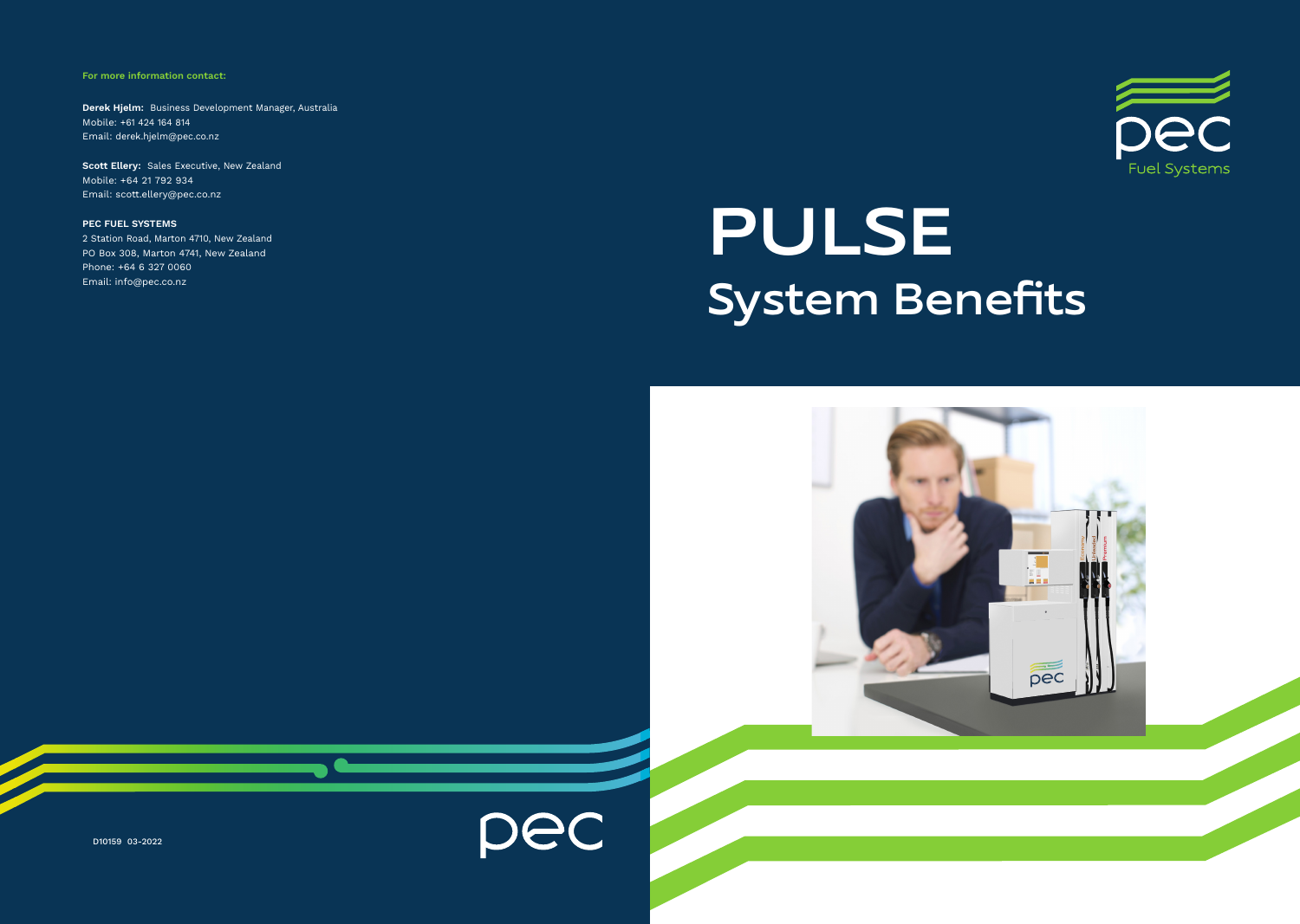For more information contact:

Derek Hjelm: Business Development Manager, Australia Mobile: +61 424 164 814 Email: derek.hjelm@pec.co.nz

Scott Ellery: Sales Executive, New Zealand Mobile: +64 21 792 934 Email: scott.ellery@pec.co.nz

PEC FUEL SYSTEMS 2 Station Road, Marton 4710, New Zealand PO Box 308, Marton 4741, New Zealand Phone: +64 6 327 0060 Email: info@pec.co.nz



# PULSE System Benefits